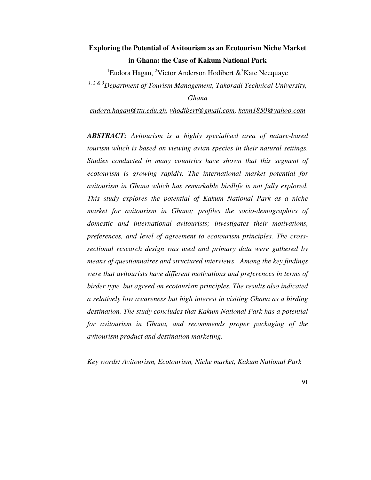# **Exploring the Potential of Avitourism as an Ecotourism Niche Market in Ghana: the Case of Kakum National Park**

<sup>1</sup>Eudora Hagan, <sup>2</sup>Victor Anderson Hodibert  $\&$ <sup>3</sup>Kate Neequaye

*1, 2 & 3Department of Tourism Management, Takoradi Technical University,* 

*Ghana* 

*eudora.hagan@ttu.edu.gh, vhodibert@gmail.com, kann1850@yahoo.com*

*ABSTRACT: Avitourism is a highly specialised area of nature-based tourism which is based on viewing avian species in their natural settings. Studies conducted in many countries have shown that this segment of ecotourism is growing rapidly. The international market potential for avitourism in Ghana which has remarkable birdlife is not fully explored. This study explores the potential of Kakum National Park as a niche market for avitourism in Ghana; profiles the socio-demographics of domestic and international avitourists; investigates their motivations, preferences, and level of agreement to ecotourism principles. The crosssectional research design was used and primary data were gathered by means of questionnaires and structured interviews. Among the key findings were that avitourists have different motivations and preferences in terms of birder type, but agreed on ecotourism principles. The results also indicated a relatively low awareness but high interest in visiting Ghana as a birding destination. The study concludes that Kakum National Park has a potential for avitourism in Ghana, and recommends proper packaging of the avitourism product and destination marketing.* 

*Key words: Avitourism, Ecotourism, Niche market, Kakum National Park*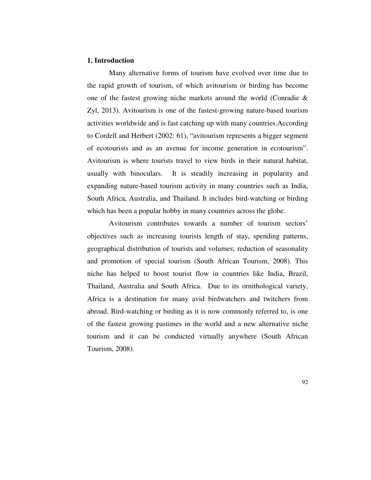#### **1. Introduction**

Many alternative forms of tourism have evolved over time due to the rapid growth of tourism, of which avitourism or birding has become one of the fastest growing niche markets around the world (Conradie & Zyl, 2013). Avitourism is one of the fastest-growing nature-based tourism activities worldwide and is fast catching up with many countries.According to Cordell and Herbert (2002: 61), "avitourism represents a bigger segment of ecotourists and as an avenue for income generation in ecotourism". Avitourism is where tourists travel to view birds in their natural habitat, usually with binoculars. It is steadily increasing in popularity and expanding nature-based tourism activity in many countries such as India, South Africa, Australia, and Thailand. It includes bird-watching or birding which has been a popular hobby in many countries across the globe.

Avitourism contributes towards a number of tourism sectors' objectives such as increasing tourists length of stay, spending patterns, geographical distribution of tourists and volumes; reduction of seasonality and promotion of special tourism (South African Tourism, 2008). This niche has helped to boost tourist flow in countries like India, Brazil, Thailand, Australia and South Africa. Due to its ornithological variety, Africa is a destination for many avid birdwatchers and twitchers from abroad. Bird-watching or birding as it is now commonly referred to, is one of the fastest growing pastimes in the world and a new alternative niche tourism and it can be conducted virtually anywhere (South African Tourism, 2008).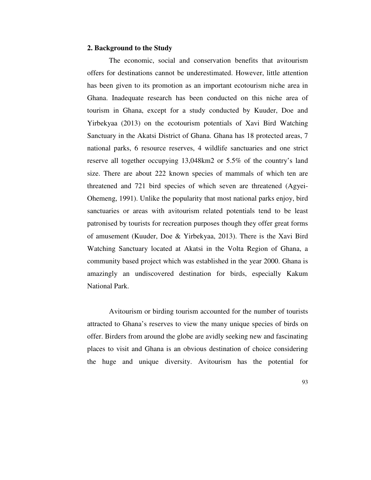#### **2. Background to the Study**

The economic, social and conservation benefits that avitourism offers for destinations cannot be underestimated. However, little attention has been given to its promotion as an important ecotourism niche area in Ghana. Inadequate research has been conducted on this niche area of tourism in Ghana, except for a study conducted by Kuuder, Doe and Yirbekyaa (2013) on the ecotourism potentials of Xavi Bird Watching Sanctuary in the Akatsi District of Ghana. Ghana has 18 protected areas, 7 national parks, 6 resource reserves, 4 wildlife sanctuaries and one strict reserve all together occupying 13,048km2 or 5.5% of the country's land size. There are about 222 known species of mammals of which ten are threatened and 721 bird species of which seven are threatened (Agyei-Ohemeng, 1991). Unlike the popularity that most national parks enjoy, bird sanctuaries or areas with avitourism related potentials tend to be least patronised by tourists for recreation purposes though they offer great forms of amusement (Kuuder, Doe & Yirbekyaa, 2013). There is the Xavi Bird Watching Sanctuary located at Akatsi in the Volta Region of Ghana, a community based project which was established in the year 2000. Ghana is amazingly an undiscovered destination for birds, especially Kakum National Park.

Avitourism or birding tourism accounted for the number of tourists attracted to Ghana's reserves to view the many unique species of birds on offer. Birders from around the globe are avidly seeking new and fascinating places to visit and Ghana is an obvious destination of choice considering the huge and unique diversity. Avitourism has the potential for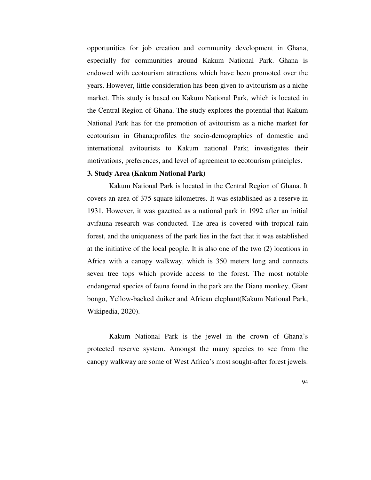opportunities for job creation and community development in Ghana, especially for communities around Kakum National Park. Ghana is endowed with ecotourism attractions which have been promoted over the years. However, little consideration has been given to avitourism as a niche market. This study is based on Kakum National Park, which is located in the Central Region of Ghana. The study explores the potential that Kakum National Park has for the promotion of avitourism as a niche market for ecotourism in Ghana;profiles the socio-demographics of domestic and international avitourists to Kakum national Park; investigates their motivations, preferences, and level of agreement to ecotourism principles.

# **3. Study Area (Kakum National Park)**

Kakum National Park is located in the Central Region of Ghana. It covers an area of 375 square kilometres. It was established as a reserve in 1931. However, it was gazetted as a national park in 1992 after an initial avifauna research was conducted. The area is covered with tropical rain forest, and the uniqueness of the park lies in the fact that it was established at the initiative of the local people. It is also one of the two (2) locations in Africa with a canopy walkway, which is 350 meters long and connects seven tree tops which provide access to the forest. The most notable endangered species of fauna found in the park are the Diana monkey, Giant bongo, Yellow-backed duiker and African elephant(Kakum National Park, Wikipedia, 2020).

Kakum National Park is the jewel in the crown of Ghana's protected reserve system. Amongst the many species to see from the canopy walkway are some of West Africa's most sought-after forest jewels.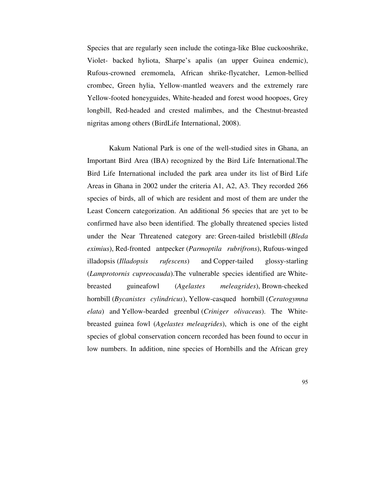Species that are regularly seen include the cotinga-like Blue cuckooshrike, Violet- backed hyliota, Sharpe's apalis (an upper Guinea endemic), Rufous-crowned eremomela, African shrike-flycatcher, Lemon-bellied crombec, Green hylia, Yellow-mantled weavers and the extremely rare Yellow-footed honeyguides, White-headed and forest wood hoopoes, Grey longbill, Red-headed and crested malimbes, and the Chestnut-breasted nigritas among others (BirdLife International, 2008).

Kakum National Park is one of the well-studied sites in Ghana, an Important Bird Area (IBA) recognized by the Bird Life International.The Bird Life International included the park area under its list of Bird Life Areas in Ghana in 2002 under the criteria A1, A2, A3. They recorded 266 species of birds, all of which are resident and most of them are under the Least Concern categorization. An additional 56 species that are yet to be confirmed have also been identified. The globally threatened species listed under the Near Threatened category are: Green-tailed bristlebill (*Bleda eximius*), Red-fronted antpecker (*Parmoptila rubrifrons*), Rufous-winged illadopsis (*Illadopsis rufescens*) and Copper-tailed glossy-starling (*Lamprotornis cupreocauda*).The vulnerable species identified are Whitebreasted guineafowl (*Agelastes meleagrides*), Brown-cheeked hornbill (*Bycanistes cylindricus*), Yellow-casqued hornbill (*Ceratogymna elata*) and Yellow-bearded greenbul (*Criniger olivaceus*). The Whitebreasted guinea fowl (*Agelastes meleagrides*), which is one of the eight species of global conservation concern recorded has been found to occur in low numbers. In addition, nine species of Hornbills and the African grey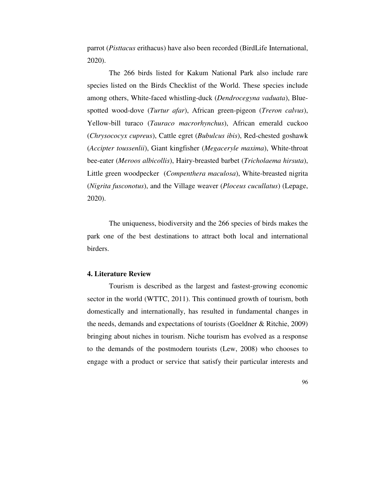parrot (*Pisttacus* erithacus) have also been recorded (BirdLife International, 2020).

The 266 birds listed for Kakum National Park also include rare species listed on the Birds Checklist of the World. These species include among others, White-faced whistling-duck (*Dendrocegyna vaduata*), Bluespotted wood-dove (*Turtur afar*), African green-pigeon (*Treron calvus*), Yellow-bill turaco (*Tauraco macrorhynchus*), African emerald cuckoo (*Chrysococyx cupreus*), Cattle egret (*Bubulcus ibis*), Red-chested goshawk (*Accipter toussenlii*), Giant kingfisher (*Megaceryle maxima*), White-throat bee-eater (*Meroos albicollis*), Hairy-breasted barbet (*Tricholaema hirsuta*), Little green woodpecker (*Compenthera maculosa*), White-breasted nigrita (*Nigrita fusconotus*), and the Village weaver (*Ploceus cucullatus*) (Lepage, 2020).

The uniqueness, biodiversity and the 266 species of birds makes the park one of the best destinations to attract both local and international birders.

#### **4. Literature Review**

Tourism is described as the largest and fastest-growing economic sector in the world (WTTC, 2011). This continued growth of tourism, both domestically and internationally, has resulted in fundamental changes in the needs, demands and expectations of tourists (Goeldner & Ritchie, 2009) bringing about niches in tourism. Niche tourism has evolved as a response to the demands of the postmodern tourists (Lew, 2008) who chooses to engage with a product or service that satisfy their particular interests and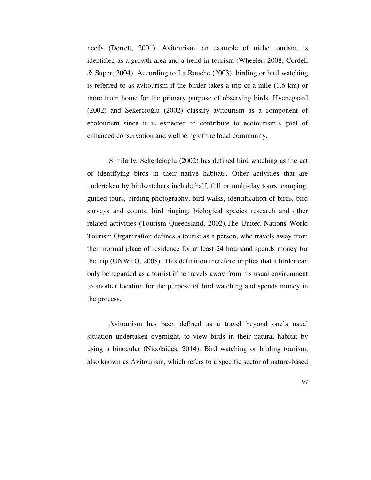needs (Derrett, 2001). Avitourism, an example of niche tourism, is identified as a growth area and a trend in tourism (Wheeler, 2008; Cordell & Super, 2004). According to La Rouche (2003), birding or bird watching is referred to as avitourism if the birder takes a trip of a mile (1.6 km) or more from home for the primary purpose of observing birds. Hvenegaard (2002) and Sekercioğlu (2002) classify avitourism as a component of ecotourism since it is expected to contribute to ecotourism's goal of enhanced conservation and wellbeing of the local community.

Similarly, Sekerlcioglu (2002) has defined bird watching as the act of identifying birds in their native habitats. Other activities that are undertaken by birdwatchers include half, full or multi-day tours, camping, guided tours, birding photography, bird walks, identification of birds, bird surveys and counts, bird ringing, biological species research and other related activities (Tourism Queensland, 2002).The United Nations World Tourism Organization defines a tourist as a person, who travels away from their normal place of residence for at least 24 hoursand spends money for the trip (UNWTO, 2008). This definition therefore implies that a birder can only be regarded as a tourist if he travels away from his usual environment to another location for the purpose of bird watching and spends money in the process.

Avitourism has been defined as a travel beyond one's usual situation undertaken overnight, to view birds in their natural habitat by using a binocular (Nicolaides, 2014). Bird watching or birding tourism, also known as Avitourism, which refers to a specific sector of nature-based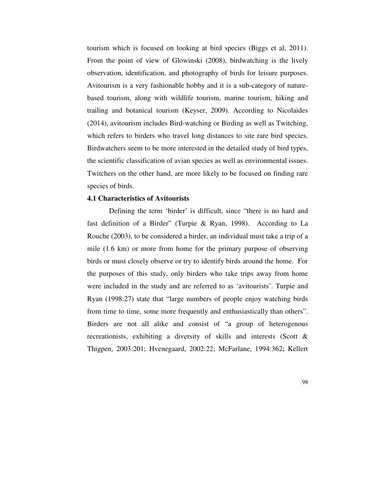tourism which is focused on looking at bird species (Biggs et al, 2011). From the point of view of Glowinski (2008), birdwatching is the lively observation, identification, and photography of birds for leisure purposes. Avitourism is a very fashionable hobby and it is a sub-category of naturebased tourism, along with wildlife tourism, marine tourism, hiking and trailing and botanical tourism (Keyser, 2009). According to Nicolaides (2014), avitourism includes Bird-watching or Birding as well as Twitching, which refers to birders who travel long distances to site rare bird species. Birdwatchers seem to be more interested in the detailed study of bird types, the scientific classification of avian species as well as environmental issues. Twitchers on the other hand, are more likely to be focused on finding rare species of birds.

#### **4.1 Characteristics of Avitourists**

Defining the term 'birder' is difficult, since "there is no hard and fast definition of a Birder" (Turpie & Ryan, 1998). According to La Rouche (2003), to be considered a birder, an individual must take a trip of a mile (1.6 km) or more from home for the primary purpose of observing birds or must closely observe or try to identify birds around the home. For the purposes of this study, only birders who take trips away from home were included in the study and are referred to as 'avitourists'. Turpie and Ryan (1998:27) state that "large numbers of people enjoy watching birds from time to time, some more frequently and enthusiastically than others". Birders are not all alike and consist of "a group of heterogenous recreationists, exhibiting a diversity of skills and interests (Scott & Thigpen, 2003:201; Hvenegaard, 2002:22; McFarlane, 1994:362; Kellert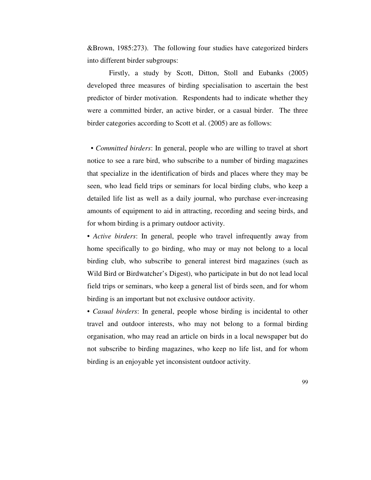&Brown, 1985:273). The following four studies have categorized birders into different birder subgroups:

Firstly, a study by Scott, Ditton, Stoll and Eubanks (2005) developed three measures of birding specialisation to ascertain the best predictor of birder motivation. Respondents had to indicate whether they were a committed birder, an active birder, or a casual birder. The three birder categories according to Scott et al. (2005) are as follows:

 • *Committed birders*: In general, people who are willing to travel at short notice to see a rare bird, who subscribe to a number of birding magazines that specialize in the identification of birds and places where they may be seen, who lead field trips or seminars for local birding clubs, who keep a detailed life list as well as a daily journal, who purchase ever-increasing amounts of equipment to aid in attracting, recording and seeing birds, and for whom birding is a primary outdoor activity.

• *Active birders*: In general, people who travel infrequently away from home specifically to go birding, who may or may not belong to a local birding club, who subscribe to general interest bird magazines (such as Wild Bird or Birdwatcher's Digest), who participate in but do not lead local field trips or seminars, who keep a general list of birds seen, and for whom birding is an important but not exclusive outdoor activity.

• *Casual birders*: In general, people whose birding is incidental to other travel and outdoor interests, who may not belong to a formal birding organisation, who may read an article on birds in a local newspaper but do not subscribe to birding magazines, who keep no life list, and for whom birding is an enjoyable yet inconsistent outdoor activity.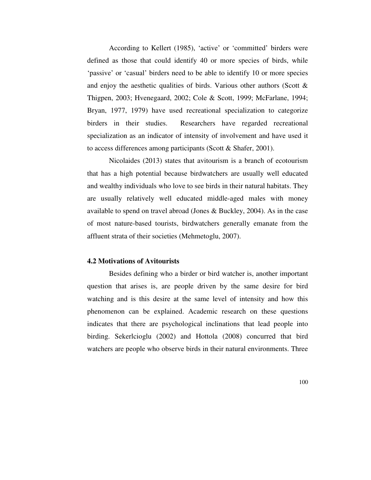According to Kellert (1985), 'active' or 'committed' birders were defined as those that could identify 40 or more species of birds, while 'passive' or 'casual' birders need to be able to identify 10 or more species and enjoy the aesthetic qualities of birds. Various other authors (Scott  $\&$ Thigpen, 2003; Hvenegaard, 2002; Cole & Scott, 1999; McFarlane, 1994; Bryan, 1977, 1979) have used recreational specialization to categorize birders in their studies. Researchers have regarded recreational specialization as an indicator of intensity of involvement and have used it to access differences among participants (Scott & Shafer, 2001).

Nicolaides (2013) states that avitourism is a branch of ecotourism that has a high potential because birdwatchers are usually well educated and wealthy individuals who love to see birds in their natural habitats. They are usually relatively well educated middle-aged males with money available to spend on travel abroad (Jones & Buckley, 2004). As in the case of most nature-based tourists, birdwatchers generally emanate from the affluent strata of their societies (Mehmetoglu, 2007).

## **4.2 Motivations of Avitourists**

Besides defining who a birder or bird watcher is, another important question that arises is, are people driven by the same desire for bird watching and is this desire at the same level of intensity and how this phenomenon can be explained. Academic research on these questions indicates that there are psychological inclinations that lead people into birding. Sekerlcioglu (2002) and Hottola (2008) concurred that bird watchers are people who observe birds in their natural environments. Three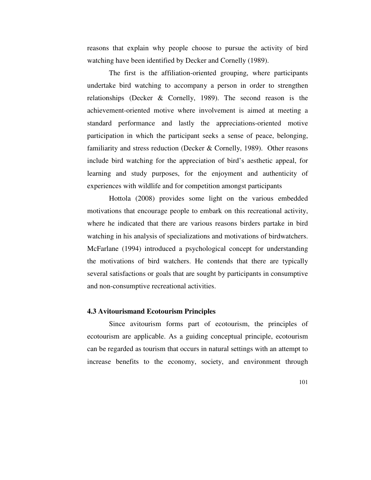reasons that explain why people choose to pursue the activity of bird watching have been identified by Decker and Cornelly (1989).

The first is the affiliation-oriented grouping, where participants undertake bird watching to accompany a person in order to strengthen relationships (Decker & Cornelly, 1989). The second reason is the achievement-oriented motive where involvement is aimed at meeting a standard performance and lastly the appreciations-oriented motive participation in which the participant seeks a sense of peace, belonging, familiarity and stress reduction (Decker  $&$  Cornelly, 1989). Other reasons include bird watching for the appreciation of bird's aesthetic appeal, for learning and study purposes, for the enjoyment and authenticity of experiences with wildlife and for competition amongst participants

Hottola (2008) provides some light on the various embedded motivations that encourage people to embark on this recreational activity, where he indicated that there are various reasons birders partake in bird watching in his analysis of specializations and motivations of birdwatchers. McFarlane (1994) introduced a psychological concept for understanding the motivations of bird watchers. He contends that there are typically several satisfactions or goals that are sought by participants in consumptive and non-consumptive recreational activities.

#### **4.3 Avitourismand Ecotourism Principles**

Since avitourism forms part of ecotourism, the principles of ecotourism are applicable. As a guiding conceptual principle, ecotourism can be regarded as tourism that occurs in natural settings with an attempt to increase benefits to the economy, society, and environment through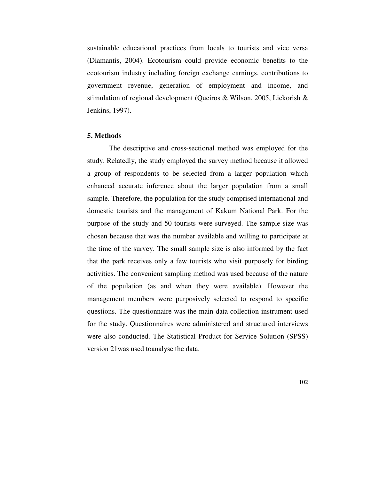sustainable educational practices from locals to tourists and vice versa (Diamantis, 2004). Ecotourism could provide economic benefits to the ecotourism industry including foreign exchange earnings, contributions to government revenue, generation of employment and income, and stimulation of regional development (Queiros & Wilson, 2005, Lickorish & Jenkins, 1997).

#### **5. Methods**

The descriptive and cross-sectional method was employed for the study. Relatedly, the study employed the survey method because it allowed a group of respondents to be selected from a larger population which enhanced accurate inference about the larger population from a small sample. Therefore, the population for the study comprised international and domestic tourists and the management of Kakum National Park. For the purpose of the study and 50 tourists were surveyed. The sample size was chosen because that was the number available and willing to participate at the time of the survey. The small sample size is also informed by the fact that the park receives only a few tourists who visit purposely for birding activities. The convenient sampling method was used because of the nature of the population (as and when they were available). However the management members were purposively selected to respond to specific questions. The questionnaire was the main data collection instrument used for the study. Questionnaires were administered and structured interviews were also conducted. The Statistical Product for Service Solution (SPSS) version 21was used toanalyse the data.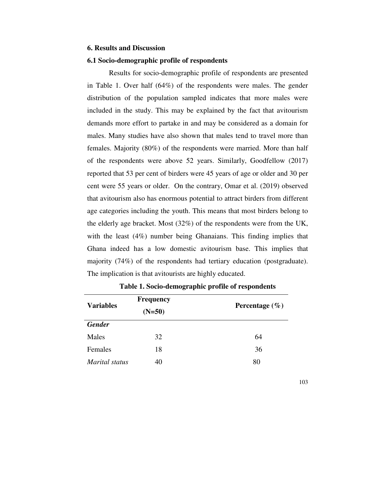#### **6. Results and Discussion**

#### **6.1 Socio-demographic profile of respondents**

Results for socio-demographic profile of respondents are presented in Table 1. Over half (64%) of the respondents were males. The gender distribution of the population sampled indicates that more males were included in the study. This may be explained by the fact that avitourism demands more effort to partake in and may be considered as a domain for males. Many studies have also shown that males tend to travel more than females. Majority (80%) of the respondents were married. More than half of the respondents were above 52 years. Similarly, Goodfellow (2017) reported that 53 per cent of birders were 45 years of age or older and 30 per cent were 55 years or older. On the contrary, Omar et al. (2019) observed that avitourism also has enormous potential to attract birders from different age categories including the youth. This means that most birders belong to the elderly age bracket. Most (32%) of the respondents were from the UK, with the least (4%) number being Ghanaians. This finding implies that Ghana indeed has a low domestic avitourism base. This implies that majority (74%) of the respondents had tertiary education (postgraduate). The implication is that avitourists are highly educated.

|                  | <b>Frequency</b> |                    |  |  |  |
|------------------|------------------|--------------------|--|--|--|
| <b>Variables</b> | $(N=50)$         | Percentage $(\% )$ |  |  |  |
| <b>Gender</b>    |                  |                    |  |  |  |
| Males            | 32               | 64                 |  |  |  |
| Females          | 18               | 36                 |  |  |  |
| Marital status   | 40               | 80                 |  |  |  |

**Table 1. Socio-demographic profile of respondents** 

103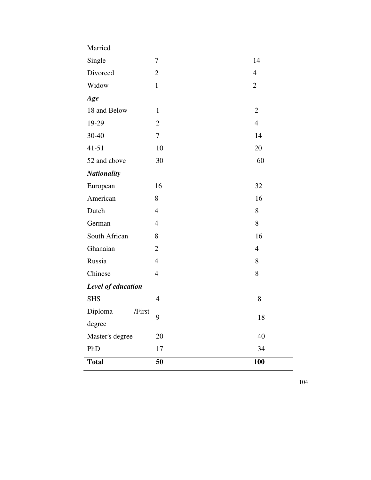| Married            |                |                |
|--------------------|----------------|----------------|
| Single             | $\tau$         | 14             |
| Divorced           | $\overline{2}$ | $\overline{4}$ |
| Widow              | $\mathbf{1}$   | $\overline{2}$ |
| Age                |                |                |
| 18 and Below       | $\mathbf{1}$   | $\overline{2}$ |
| 19-29              | $\overline{2}$ | $\overline{4}$ |
| 30-40              | $\tau$         | 14             |
| $41 - 51$          | 10             | 20             |
| 52 and above       | 30             | 60             |
| <b>Nationality</b> |                |                |
| European           | 16             | 32             |
| American           | 8              | 16             |
| Dutch              | $\overline{4}$ | 8              |
| German             | $\overline{4}$ | 8              |
| South African      | 8              | 16             |
| Ghanaian           | $\overline{2}$ | $\overline{4}$ |
| Russia             | $\overline{4}$ | 8              |
| Chinese            | $\overline{4}$ | 8              |
| Level of education |                |                |
| <b>SHS</b>         | $\overline{4}$ |                |
|                    |                | 8              |
| Diploma<br>/First  |                |                |
| degree             | 9              | 18             |
| Master's degree    | 20             | 40             |
| PhD                | 17             | 34             |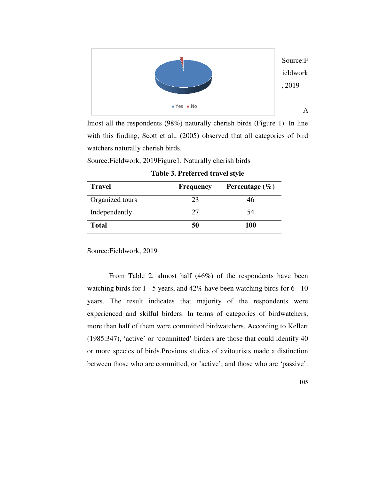

lmost all the respondents (98%) naturally cherish birds (Figure 1). In line with this finding, Scott et al., (2005) observed that all categories of bird watchers naturally cherish birds. lmost all the respondents (98%) naturally cherish birds (Figure 1). In<br>with this finding, Scott et al., (2005) observed that all categories of<br>watchers naturally cherish birds.<br>Source:Fieldwork, 2019Figure1. Naturally cher

Source:Fieldwork, 2019Figure1. Naturally cherish birds

| <b>Travel</b>   | <b>Frequency</b> | Percentage $(\% )$ |  |
|-----------------|------------------|--------------------|--|
| Organized tours | 23               | 46                 |  |
| Independently   | 27               | .54                |  |
| <b>Total</b>    | 50               | 100                |  |

**Table 3. Preferred travel style** 

Source:Fieldwork, 2019

From Table 2, almost half (46%) of the respondents have been From Table 2, almost half  $(46%)$  of the respondents have been watching birds for 1 - 5 years, and 42% have been watching birds for 6 - 10 years. The result indicates that majority of the respondents were years. The result indicates that majority of the respondents were<br>experienced and skilful birders. In terms of categories of birdwatchers, more than half of them were committed birdwatchers. According to Kellert (1985:347), 'active' or 'committed' birders are those that could identify 40 or more species of birds.Previous studies of avitourists made a distinction between those who are committed, or 'active', and those who are 'passive'. **Example 19 Solution** A<br> **Example A** control (98%) naturally cherish birds (Figure 1). In line<br>
finding, Scott et al., (2005) observed that all categories of bird<br>
naturally cherish birds.<br> **Example 3. Preferred travel st**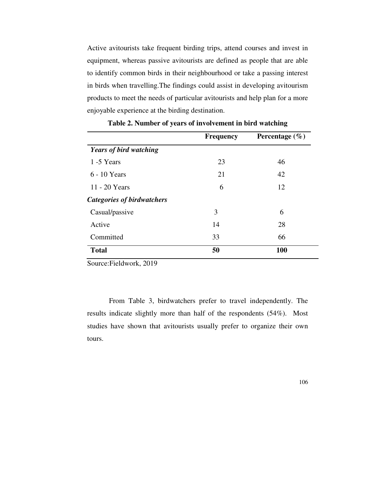Active avitourists take frequent birding trips, attend courses and invest in equipment, whereas passive avitourists are defined as people that are able to identify common birds in their neighbourhood or take a passing interest in birds when travelling.The findings could assist in developing avitourism products to meet the needs of particular avitourists and help plan for a more enjoyable experience at the birding destination.

|                                   | <b>Frequency</b> | Percentage $(\% )$ |
|-----------------------------------|------------------|--------------------|
| <b>Years of bird watching</b>     |                  |                    |
| 1 -5 Years                        | 23               | 46                 |
| 6 - 10 Years                      | 21               | 42                 |
| 11 - 20 Years                     | 6                | 12                 |
| <b>Categories of birdwatchers</b> |                  |                    |
| Casual/passive                    | 3                | 6                  |
| Active                            | 14               | 28                 |
| Committed                         | 33               | 66                 |
| <b>Total</b>                      | 50               | 100                |

**Table 2. Number of years of involvement in bird watching**

Source:Fieldwork, 2019

From Table 3, birdwatchers prefer to travel independently. The results indicate slightly more than half of the respondents (54%). Most studies have shown that avitourists usually prefer to organize their own tours.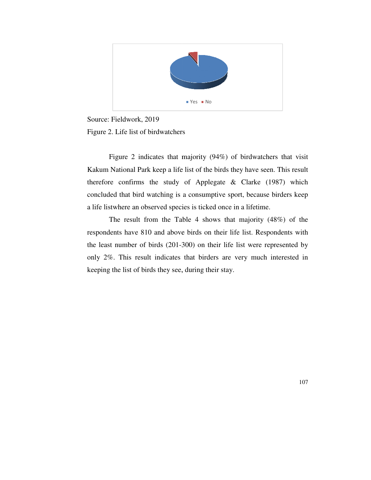

Source: Fieldwork, 2019 Figure 2. Life list of birdwatchers

Figure 2 indicates that majority (94%) of birdwatchers that visit Kakum National Park keep a life list of the birds they have seen. This result Kakum National Park keep a life list of the birds they have seen. This result therefore confirms the study of Applegate  $\&$  Clarke (1987) which concluded that bird watching is a consumptive sport, because birders keep a life listwhere an observed species is ticked once in a lifetime. <sup>1965</sup> <sup>100</sup><br><sup>30</sup> SS **100**<br><sup>30</sup> SS **100**<br><sup>31</sup> Sexual by Axele Seen. This result<br>of Applegate & Clarke (1987) which<br>a consumptive sport, because birders keep<br>ies is ticked once in a lifetime.<br>ble 4 shows that majority (48%

The result from the Table 4 shows that majority (48%) of the respondents have 810 and above birds on their life list. Respondents with the least number of birds (201-300) on their life list were represented by only 2%. This result indicates that birders are very much interested in keeping the list of birds they see, during their stay. result from the Table 4 shows that majority (48%) of the have 810 and above birds on their life list. Respondents with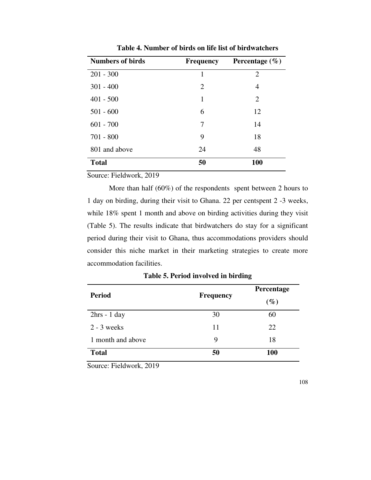| <b>Numbers of birds</b> | <b>Frequency</b> | Percentage $(\% )$ |
|-------------------------|------------------|--------------------|
| $201 - 300$             | 1                | 2                  |
| $301 - 400$             | 2                | 4                  |
| $401 - 500$             | 1                | $\overline{2}$     |
| $501 - 600$             | 6                | 12                 |
| $601 - 700$             | 7                | 14                 |
| $701 - 800$             | 9                | 18                 |
| 801 and above           | 24               | 48                 |
| <b>Total</b>            | 50               | 100                |

**Table 4. Number of birds on life list of birdwatchers** 

Source: Fieldwork, 2019

More than half (60%) of the respondents spent between 2 hours to 1 day on birding, during their visit to Ghana. 22 per centspent 2 -3 weeks, while 18% spent 1 month and above on birding activities during they visit (Table 5). The results indicate that birdwatchers do stay for a significant period during their visit to Ghana, thus accommodations providers should consider this niche market in their marketing strategies to create more accommodation facilities.

| <b>Period</b>     | <b>Frequency</b> | Percentage |  |  |
|-------------------|------------------|------------|--|--|
|                   |                  | $(\%)$     |  |  |
| $2hrs - 1 day$    | 30               | 60         |  |  |
| $2 - 3$ weeks     | 11               | 22         |  |  |
| 1 month and above | 9                | 18         |  |  |
| <b>Total</b>      | 50               | <b>100</b> |  |  |

**Table 5. Period involved in birding** 

Source: Fieldwork, 2019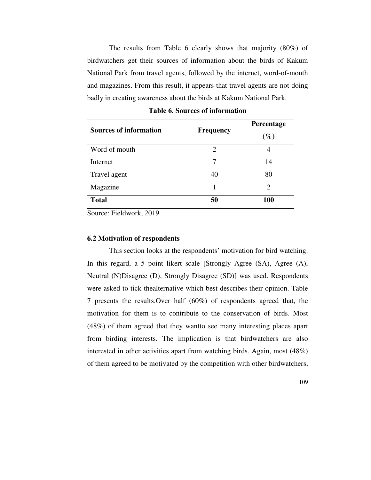The results from Table 6 clearly shows that majority (80%) of birdwatchers get their sources of information about the birds of Kakum National Park from travel agents, followed by the internet, word-of-mouth and magazines. From this result, it appears that travel agents are not doing badly in creating awareness about the birds at Kakum National Park.

| <b>Sources of information</b> |                  | Percentage |  |  |
|-------------------------------|------------------|------------|--|--|
|                               | <b>Frequency</b> | $(\%)$     |  |  |
| Word of mouth                 | 2                | 4          |  |  |
| Internet                      | 7                | 14         |  |  |
| Travel agent                  | 40               | 80         |  |  |
| Magazine                      |                  | 2          |  |  |
| <b>Total</b>                  | 50               | <b>100</b> |  |  |

| <b>Table 6. Sources of information</b> |  |
|----------------------------------------|--|
|----------------------------------------|--|

Source: Fieldwork, 2019

#### **6.2 Motivation of respondents**

This section looks at the respondents' motivation for bird watching. In this regard, a 5 point likert scale [Strongly Agree (SA), Agree (A), Neutral (N)Disagree (D), Strongly Disagree (SD)] was used. Respondents were asked to tick thealternative which best describes their opinion. Table 7 presents the results.Over half (60%) of respondents agreed that, the motivation for them is to contribute to the conservation of birds. Most (48%) of them agreed that they wantto see many interesting places apart from birding interests. The implication is that birdwatchers are also interested in other activities apart from watching birds. Again, most (48%) of them agreed to be motivated by the competition with other birdwatchers,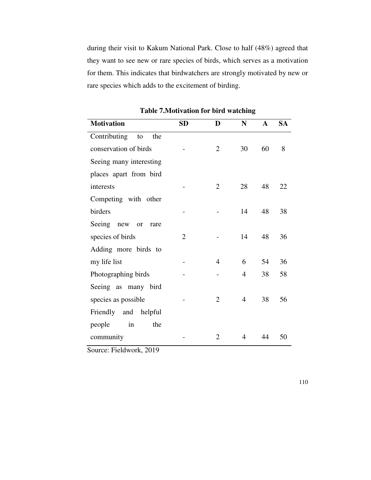during their visit to Kakum National Park. Close to half (48%) agreed that they want to see new or rare species of birds, which serves as a motivation for them. This indicates that birdwatchers are strongly motivated by new or rare species which adds to the excitement of birding.

| <b>Motivation</b>         | <b>SD</b>      | D              | N              | A  | <b>SA</b> |
|---------------------------|----------------|----------------|----------------|----|-----------|
| Contributing<br>to<br>the |                |                |                |    |           |
| conservation of birds     |                | 2              | 30             | 60 | 8         |
| Seeing many interesting   |                |                |                |    |           |
| places apart from bird    |                |                |                |    |           |
| interests                 |                | $\overline{2}$ | 28             | 48 | 22        |
| Competing with other      |                |                |                |    |           |
| birders                   |                |                | 14             | 48 | 38        |
| Seeing new or<br>rare     |                |                |                |    |           |
| species of birds          | $\overline{2}$ |                | 14             | 48 | 36        |
| Adding more birds to      |                |                |                |    |           |
| my life list              |                | 4              | 6              | 54 | 36        |
| Photographing birds       |                |                | $\overline{4}$ | 38 | 58        |
| Seeing as many bird       |                |                |                |    |           |
| species as possible       |                | $\overline{2}$ | $\overline{4}$ | 38 | 56        |
| Friendly and helpful      |                |                |                |    |           |
| in<br>the<br>people       |                |                |                |    |           |
| community                 |                | $\overline{2}$ | 4              | 44 | 50        |

**Table 7.Motivation for bird watching** 

Source: Fieldwork, 2019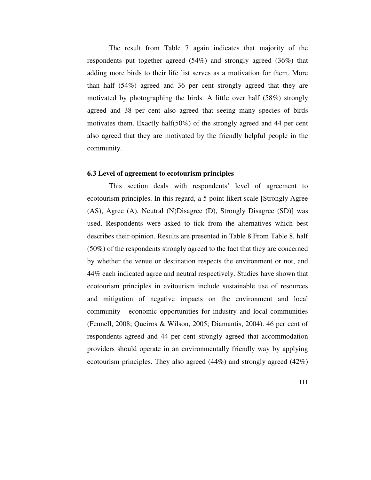The result from Table 7 again indicates that majority of the respondents put together agreed (54%) and strongly agreed (36%) that adding more birds to their life list serves as a motivation for them. More than half (54%) agreed and 36 per cent strongly agreed that they are motivated by photographing the birds. A little over half (58%) strongly agreed and 38 per cent also agreed that seeing many species of birds motivates them. Exactly half(50%) of the strongly agreed and 44 per cent also agreed that they are motivated by the friendly helpful people in the community.

#### **6.3 Level of agreement to ecotourism principles**

This section deals with respondents' level of agreement to ecotourism principles. In this regard, a 5 point likert scale [Strongly Agree (AS), Agree (A), Neutral (N)Disagree (D), Strongly Disagree (SD)] was used. Respondents were asked to tick from the alternatives which best describes their opinion. Results are presented in Table 8.From Table 8, half (50%) of the respondents strongly agreed to the fact that they are concerned by whether the venue or destination respects the environment or not, and 44% each indicated agree and neutral respectively. Studies have shown that ecotourism principles in avitourism include sustainable use of resources and mitigation of negative impacts on the environment and local community - economic opportunities for industry and local communities (Fennell, 2008; Queiros & Wilson, 2005; Diamantis, 2004). 46 per cent of respondents agreed and 44 per cent strongly agreed that accommodation providers should operate in an environmentally friendly way by applying ecotourism principles. They also agreed (44%) and strongly agreed (42%)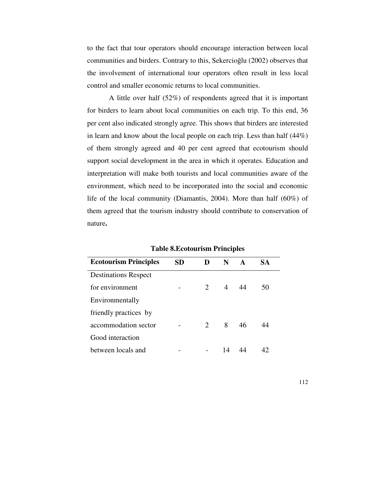to the fact that tour operators should encourage interaction between local communities and birders. Contrary to this, Sekercioğlu (2002) observes that the involvement of international tour operators often result in less local control and smaller economic returns to local communities.

A little over half (52%) of respondents agreed that it is important for birders to learn about local communities on each trip. To this end, 36 per cent also indicated strongly agree. This shows that birders are interested in learn and know about the local people on each trip. Less than half (44%) of them strongly agreed and 40 per cent agreed that ecotourism should support social development in the area in which it operates. Education and interpretation will make both tourists and local communities aware of the environment, which need to be incorporated into the social and economic life of the local community (Diamantis, 2004). More than half (60%) of them agreed that the tourism industry should contribute to conservation of nature**.** 

| <b>Ecotourism Principles</b> | SD | D                     | N              | $\mathbf{A}$ | SА |  |
|------------------------------|----|-----------------------|----------------|--------------|----|--|
| <b>Destinations Respect</b>  |    |                       |                |              |    |  |
| for environment              |    | $\mathcal{D}_{\cdot}$ | $\overline{4}$ | 44           | 50 |  |
| Environmentally              |    |                       |                |              |    |  |
| friendly practices by        |    |                       |                |              |    |  |
| accommodation sector         |    | $\mathcal{D}_{\cdot}$ | 8              | 46           | Δ4 |  |
| Good interaction             |    |                       |                |              |    |  |
| between locals and           |    |                       | 14             |              |    |  |

**Table 8.Ecotourism Principles**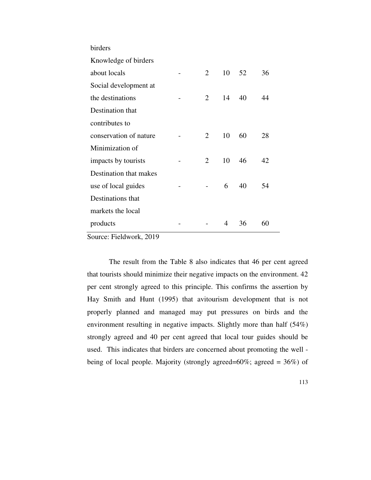| birders                |                |    |    |    |
|------------------------|----------------|----|----|----|
| Knowledge of birders   |                |    |    |    |
| about locals           | $\overline{2}$ | 10 | 52 | 36 |
| Social development at  |                |    |    |    |
| the destinations       | 2              | 14 | 40 | 44 |
| Destination that       |                |    |    |    |
| contributes to         |                |    |    |    |
| conservation of nature | 2              | 10 | 60 | 28 |
| Minimization of        |                |    |    |    |
| impacts by tourists    | 2              | 10 | 46 | 42 |
| Destination that makes |                |    |    |    |
| use of local guides    |                | 6  | 40 | 54 |
| Destinations that      |                |    |    |    |
| markets the local      |                |    |    |    |
| products               |                | 4  | 36 | 60 |
| $\sum_{i=1}^{n}$       |                |    |    |    |

Source: Fieldwork, 2019

The result from the Table 8 also indicates that 46 per cent agreed that tourists should minimize their negative impacts on the environment. 42 per cent strongly agreed to this principle. This confirms the assertion by Hay Smith and Hunt (1995) that avitourism development that is not properly planned and managed may put pressures on birds and the environment resulting in negative impacts. Slightly more than half (54%) strongly agreed and 40 per cent agreed that local tour guides should be used. This indicates that birders are concerned about promoting the well being of local people. Majority (strongly agreed=60%; agreed = 36%) of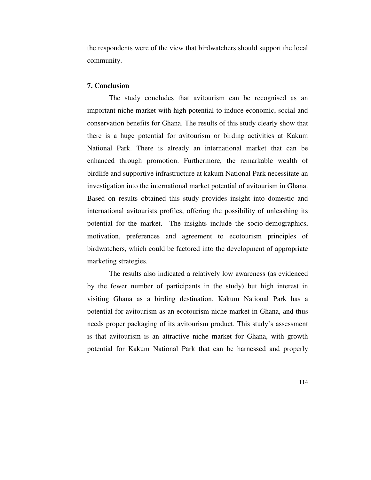the respondents were of the view that birdwatchers should support the local community.

#### **7. Conclusion**

The study concludes that avitourism can be recognised as an important niche market with high potential to induce economic, social and conservation benefits for Ghana. The results of this study clearly show that there is a huge potential for avitourism or birding activities at Kakum National Park. There is already an international market that can be enhanced through promotion. Furthermore, the remarkable wealth of birdlife and supportive infrastructure at kakum National Park necessitate an investigation into the international market potential of avitourism in Ghana. Based on results obtained this study provides insight into domestic and international avitourists profiles, offering the possibility of unleashing its potential for the market. The insights include the socio-demographics, motivation, preferences and agreement to ecotourism principles of birdwatchers, which could be factored into the development of appropriate marketing strategies.

The results also indicated a relatively low awareness (as evidenced by the fewer number of participants in the study) but high interest in visiting Ghana as a birding destination. Kakum National Park has a potential for avitourism as an ecotourism niche market in Ghana, and thus needs proper packaging of its avitourism product. This study's assessment is that avitourism is an attractive niche market for Ghana, with growth potential for Kakum National Park that can be harnessed and properly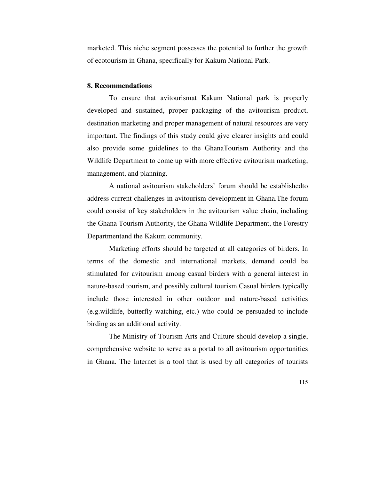marketed. This niche segment possesses the potential to further the growth of ecotourism in Ghana, specifically for Kakum National Park.

#### **8. Recommendations**

To ensure that avitourismat Kakum National park is properly developed and sustained, proper packaging of the avitourism product, destination marketing and proper management of natural resources are very important. The findings of this study could give clearer insights and could also provide some guidelines to the GhanaTourism Authority and the Wildlife Department to come up with more effective avitourism marketing, management, and planning.

A national avitourism stakeholders' forum should be establishedto address current challenges in avitourism development in Ghana.The forum could consist of key stakeholders in the avitourism value chain, including the Ghana Tourism Authority, the Ghana Wildlife Department, the Forestry Departmentand the Kakum community.

Marketing efforts should be targeted at all categories of birders. In terms of the domestic and international markets, demand could be stimulated for avitourism among casual birders with a general interest in nature-based tourism, and possibly cultural tourism.Casual birders typically include those interested in other outdoor and nature-based activities (e.g.wildlife, butterfly watching, etc.) who could be persuaded to include birding as an additional activity.

The Ministry of Tourism Arts and Culture should develop a single, comprehensive website to serve as a portal to all avitourism opportunities in Ghana. The Internet is a tool that is used by all categories of tourists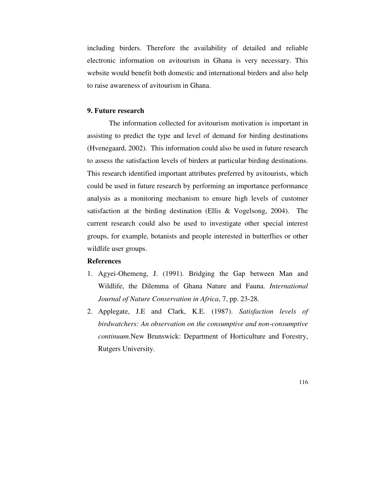including birders. Therefore the availability of detailed and reliable electronic information on avitourism in Ghana is very necessary. This website would benefit both domestic and international birders and also help to raise awareness of avitourism in Ghana.

#### **9. Future research**

The information collected for avitourism motivation is important in assisting to predict the type and level of demand for birding destinations (Hvenegaard, 2002). This information could also be used in future research to assess the satisfaction levels of birders at particular birding destinations. This research identified important attributes preferred by avitourists, which could be used in future research by performing an importance performance analysis as a monitoring mechanism to ensure high levels of customer satisfaction at the birding destination (Ellis & Vogelsong, 2004). The current research could also be used to investigate other special interest groups, for example, botanists and people interested in butterflies or other wildlife user groups.

## **References**

- 1. Agyei-Ohemeng, J. (1991). Bridging the Gap between Man and Wildlife, the Dilemma of Ghana Nature and Fauna. *International Journal of Nature Conservation in Africa*, 7, pp. 23-28.
- 2. Applegate, J.E and Clark, K.E. (1987). *Satisfaction levels of birdwatchers: An observation on the consumptive and non-consumptive continuum*.New Brunswick: Department of Horticulture and Forestry, Rutgers University.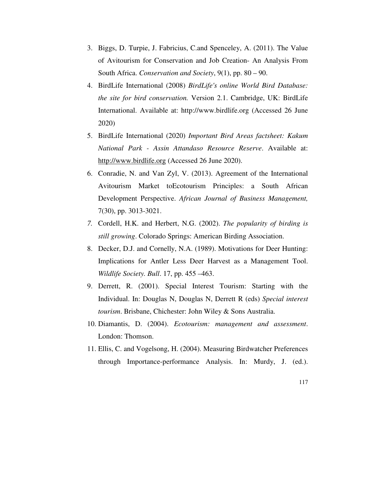- 3. Biggs, D. Turpie, J. Fabricius, C.and Spenceley, A. (2011). The Value of Avitourism for Conservation and Job Creation- An Analysis From South Africa. *Conservation and Society*, 9(1), pp. 80 – 90.
- 4. BirdLife International (2008) *BirdLife's online World Bird Database: the site for bird conservation.* Version 2.1. Cambridge, UK: BirdLife International. Available at: http://www.birdlife.org (Accessed 26 June 2020)
- 5. BirdLife International (2020) *Important Bird Areas factsheet: Kakum National Park - Assin Attandaso Resource Reserve*. Available at: http://www.birdlife.org (Accessed 26 June 2020).
- 6. Conradie, N. and Van Zyl, V. (2013). Agreement of the International Avitourism Market toEcotourism Principles: a South African Development Perspective. *African Journal of Business Management,*  7(30), pp. 3013-3021.
- *7.* Cordell, H.K. and Herbert, N.G. (2002). *The popularity of birding is still growing*. Colorado Springs: American Birding Association.
- 8. Decker, D.J. and Cornelly, N.A. (1989). Motivations for Deer Hunting: Implications for Antler Less Deer Harvest as a Management Tool. *Wildlife Society. Bull*. 17, pp. 455 –463.
- 9. Derrett, R. (2001). Special Interest Tourism: Starting with the Individual. In: Douglas N, Douglas N, Derrett R (eds) *Special interest tourism*. Brisbane, Chichester: John Wiley & Sons Australia.
- 10. Diamantis, D. (2004). *Ecotourism: management and assessment*. London: Thomson.
- 11. Ellis, C. and Vogelsong, H. (2004). Measuring Birdwatcher Preferences through Importance-performance Analysis. In: Murdy, J. (ed.).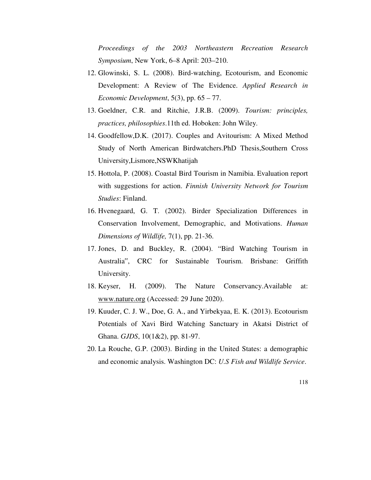*Proceedings of the 2003 Northeastern Recreation Research Symposium*, New York, 6–8 April: 203–210.

- 12. Glowinski, S. L. (2008). Bird-watching, Ecotourism, and Economic Development: A Review of The Evidence. *Applied Research in Economic Development*, 5(3), pp. 65 – 77.
- 13. Goeldner, C.R. and Ritchie, J.R.B. (2009). *Tourism: principles, practices, philosophies*.11th ed. Hoboken: John Wiley.
- 14. Goodfellow,D.K. (2017). Couples and Avitourism: A Mixed Method Study of North American Birdwatchers.PhD Thesis,Southern Cross University,Lismore,NSWKhatijah
- 15. Hottola, P. (2008). Coastal Bird Tourism in Namibia. Evaluation report with suggestions for action. *Finnish University Network for Tourism Studies*: Finland.
- 16. Hvenegaard, G. T. (2002). Birder Specialization Differences in Conservation Involvement, Demographic, and Motivations. *Human Dimensions of Wildlife,* 7(1), pp. 21-36.
- 17. Jones, D. and Buckley, R. (2004). "Bird Watching Tourism in Australia", CRC for Sustainable Tourism. Brisbane: Griffith University.
- 18. Keyser, H. (2009). The Nature Conservancy.Available at: www.nature.org (Accessed: 29 June 2020).
- 19. Kuuder, C. J. W., Doe, G. A., and Yirbekyaa, E. K. (2013). Ecotourism Potentials of Xavi Bird Watching Sanctuary in Akatsi District of Ghana. *GJDS*, 10(1&2), pp. 81-97.
- 20. La Rouche, G.P. (2003). Birding in the United States: a demographic and economic analysis. Washington DC: *U.S Fish and Wildlife Service*.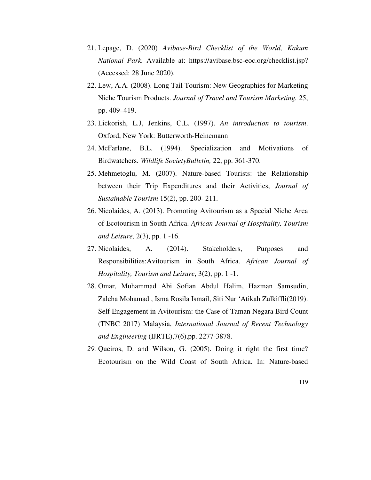- 21. Lepage, D. (2020) *Avibase-Bird Checklist of the World, Kakum National Park.* Available at: https://avibase.bsc-eoc.org/checklist.jsp? (Accessed: 28 June 2020).
- 22. Lew, A.A. (2008). Long Tail Tourism: New Geographies for Marketing Niche Tourism Products. *Journal of Travel and Tourism Marketing.* 25, pp. 409–419.
- 23. Lickorish, L.J, Jenkins, C.L. (1997). *An introduction to tourism*. Oxford, New York: Butterworth-Heinemann
- 24. McFarlane, B.L. (1994). Specialization and Motivations of Birdwatchers. *Wildlife SocietyBulletin,* 22, pp. 361-370.
- 25. Mehmetoglu, M. (2007). Nature-based Tourists: the Relationship between their Trip Expenditures and their Activities, *Journal of Sustainable Tourism* 15(2), pp. 200- 211.
- 26. Nicolaides, A. (2013). Promoting Avitourism as a Special Niche Area of Ecotourism in South Africa. *African Journal of Hospitality, Tourism and Leisure,* 2(3), pp. 1 -16.
- 27. Nicolaides, A. (2014). Stakeholders, Purposes and Responsibilities:Avitourism in South Africa. *African Journal of Hospitality, Tourism and Leisure*, 3(2), pp. 1 -1.
- 28. Omar, Muhammad Abi Sofian Abdul Halim, Hazman Samsudin, Zaleha Mohamad , Isma Rosila Ismail, Siti Nur 'Atikah Zulkiffli(2019). Self Engagement in Avitourism: the Case of Taman Negara Bird Count (TNBC 2017) Malaysia, *International Journal of Recent Technology and Engineering* (IJRTE),7(6),pp. 2277-3878.
- *29.* Queiros, D. and Wilson, G. (2005). Doing it right the first time? Ecotourism on the Wild Coast of South Africa. In: Nature-based